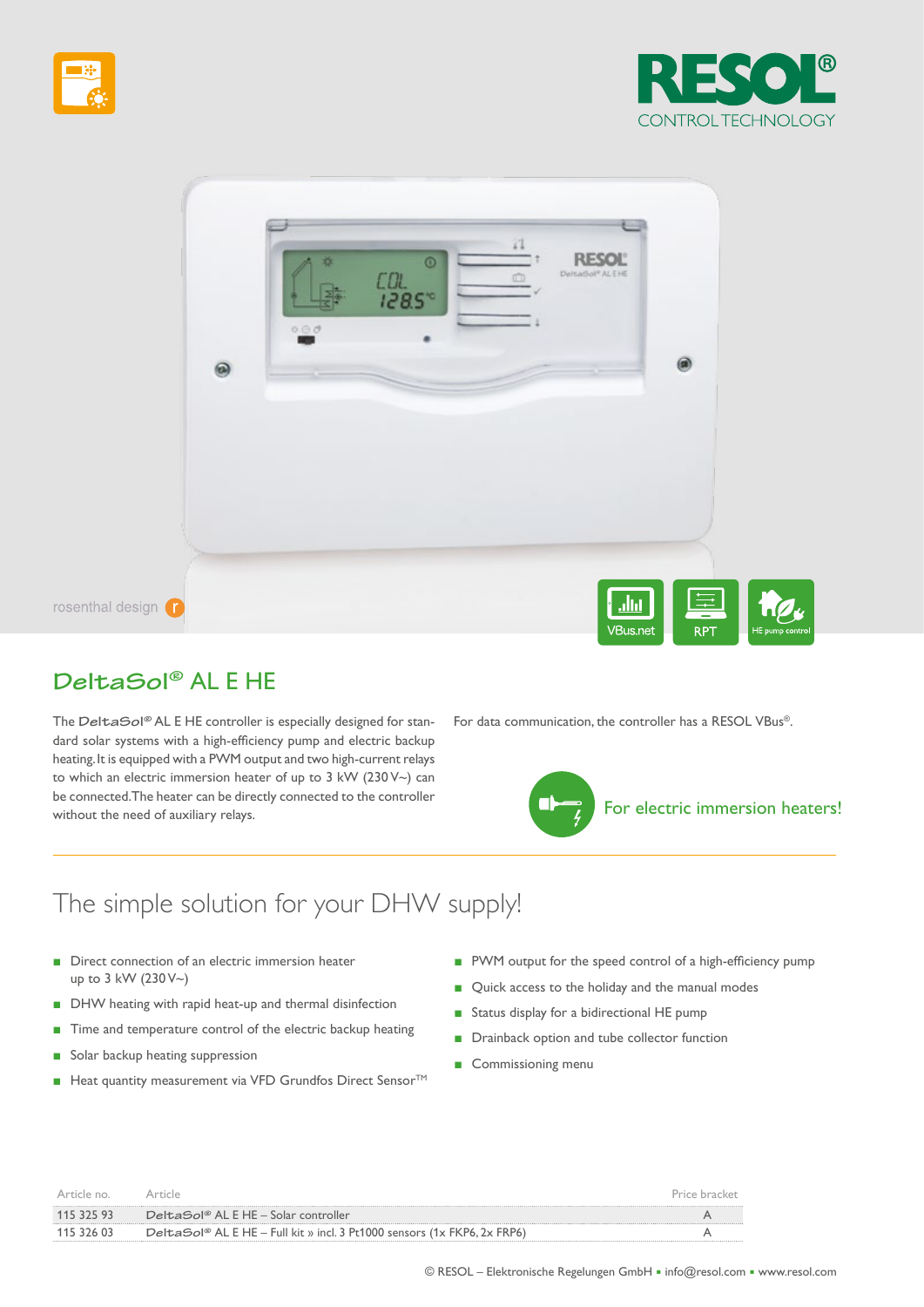





# **DeltaSol®** AL E HE

The **DeltaSol®** AL E HE controller is especially designed for standard solar systems with a high-efficiency pump and electric backup heating. It is equipped with a PWM output and two high-current relays to which an electric immersion heater of up to 3 kW (230 V~) can be connected. The heater can be directly connected to the controller without the need of auxiliary relays.

For data communication, the controller has a RESOL VBus®.



# The simple solution for your DHW supply!

- Direct connection of an electric immersion heater up to 3 kW (230 V~)
- DHW heating with rapid heat-up and thermal disinfection
- Time and temperature control of the electric backup heating
- Solar backup heating suppression
- Heat quantity measurement via VFD Grundfos Direct Sensor<sup>™</sup>
- PWM output for the speed control of a high-efficiency pump
- Quick access to the holiday and the manual modes
- Status display for a bidirectional HE pump
- Drainback option and tube collector function
- Commissioning menu

| Article no |                                                                          | Price bracket |
|------------|--------------------------------------------------------------------------|---------------|
| 115 325 93 | DeltaSol® AL E HE – Solar controller                                     |               |
| 115 326 03 | DeltaSol® AL E HE – Full kit » incl. 3 Pt1000 sensors (1x FKP6, 2x FRP6) |               |